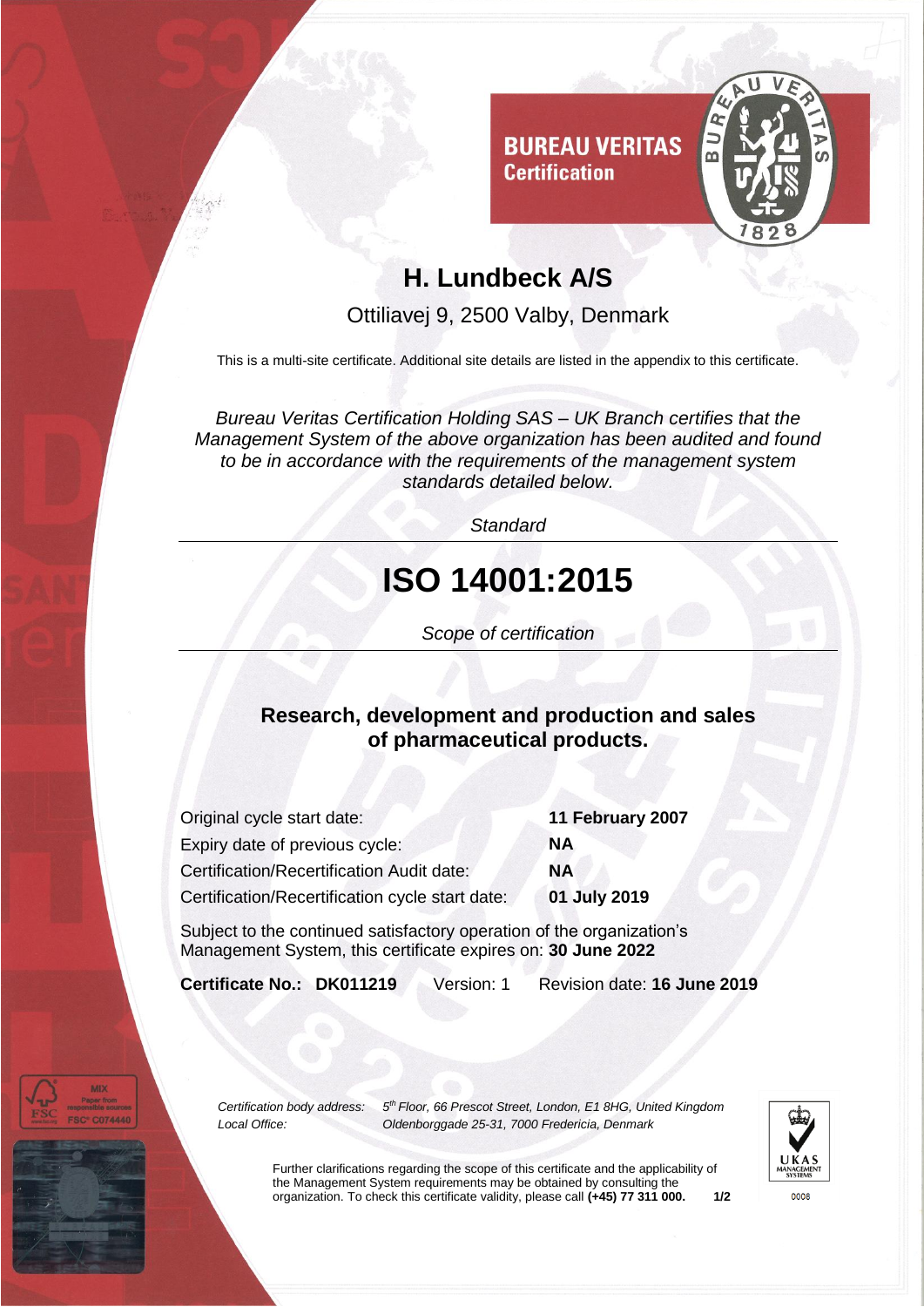

### **H. Lundbeck A/S**

Ottiliavej 9, 2500 Valby, Denmark

This is a multi-site certificate. Additional site details are listed in the appendix to this certificate.

*Bureau Veritas Certification Holding SAS – UK Branch certifies that the Management System of the above organization has been audited and found to be in accordance with the requirements of the management system standards detailed below.*

*Standard*

# **ISO 14001:2015**

*Scope of certification*

#### **Research, development and production and sales of pharmaceutical products.**

| Original cycle start date:                      | 11 February 2007 |
|-------------------------------------------------|------------------|
| Expiry date of previous cycle:                  | ΝA               |
| Certification/Recertification Audit date:       | <b>NA</b>        |
| Certification/Recertification cycle start date: | 01 July 2019     |

Subject to the continued satisfactory operation of the organization's Management System, this certificate expires on: **30 June 2022**

**Certificate No.: DK011219** Version: 1 Revision date: **16 June 2019**

*Certification body address: 5 th Floor, 66 Prescot Street, London, E1 8HG, United Kingdom Local Office: Oldenborggade 25-31, 7000 Fredericia, Denmark*



Further clarifications regarding the scope of this certificate and the applicability of the Management System requirements may be obtained by consulting the organization. To check this certificate validity, please call **(+45) 77 311 000. 1/2**